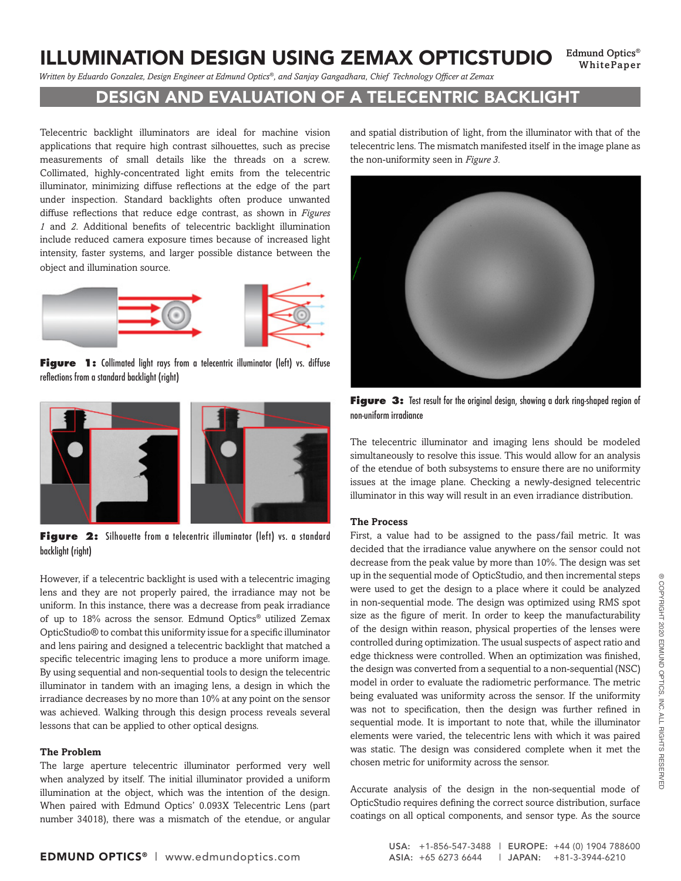# ILLUMINATION DESIGN USING ZEMAX OPTICSTUDIO Edmund Optics®

WhitePaper

*Written by Eduardo Gonzalez, Design Engineer at Edmund Optics®, and Sanjay Gangadhara, Chief Technology Officer at Zemax*

## DESIGN AND EVALUATION OF A TELECENTRIC BACKLIGHT

Telecentric backlight illuminators are ideal for machine vision applications that require high contrast silhouettes, such as precise measurements of small details like the threads on a screw. Collimated, highly-concentrated light emits from the telecentric illuminator, minimizing diffuse reflections at the edge of the part under inspection. Standard backlights often produce unwanted diffuse reflections that reduce edge contrast, as shown in *Figures 1* and *2*. Additional benefits of telecentric backlight illumination include reduced camera exposure times because of increased light intensity, faster systems, and larger possible distance between the object and illumination source.



**Figure** 1: Collimated light rays from a telecentric illuminator (left) vs. diffuse reflections from a standard backlight (right)



Figure 2: Silhouette from a telecentric illuminator (left) vs. a standard backlight (right)

However, if a telecentric backlight is used with a telecentric imaging lens and they are not properly paired, the irradiance may not be uniform. In this instance, there was a decrease from peak irradiance of up to 18% across the sensor. Edmund Optics® utilized Zemax OpticStudio® to combat this uniformity issue for a specific illuminator and lens pairing and designed a telecentric backlight that matched a specific telecentric imaging lens to produce a more uniform image. By using sequential and non-sequential tools to design the telecentric illuminator in tandem with an imaging lens, a design in which the irradiance decreases by no more than 10% at any point on the sensor was achieved. Walking through this design process reveals several lessons that can be applied to other optical designs.

### **The Problem**

The large aperture telecentric illuminator performed very well when analyzed by itself. The initial illuminator provided a uniform illumination at the object, which was the intention of the design. When paired with Edmund Optics' 0.093X Telecentric Lens (part number 34018), there was a mismatch of the etendue, or angular and spatial distribution of light, from the illuminator with that of the telecentric lens. The mismatch manifested itself in the image plane as the non-uniformity seen in *Figure 3.*



Figure 3: Test result for the original design, showing a dark ring-shaped region of non-uniform irradiance

The telecentric illuminator and imaging lens should be modeled simultaneously to resolve this issue. This would allow for an analysis of the etendue of both subsystems to ensure there are no uniformity issues at the image plane. Checking a newly-designed telecentric illuminator in this way will result in an even irradiance distribution.

#### **The Process**

First, a value had to be assigned to the pass/fail metric. It was decided that the irradiance value anywhere on the sensor could not decrease from the peak value by more than 10%. The design was set up in the sequential mode of OpticStudio, and then incremental steps were used to get the design to a place where it could be analyzed in non-sequential mode. The design was optimized using RMS spot size as the figure of merit. In order to keep the manufacturability of the design within reason, physical properties of the lenses were controlled during optimization. The usual suspects of aspect ratio and edge thickness were controlled. When an optimization was finished, the design was converted from a sequential to a non-sequential (NSC) model in order to evaluate the radiometric performance. The metric being evaluated was uniformity across the sensor. If the uniformity was not to specification, then the design was further refined in sequential mode. It is important to note that, while the illuminator elements were varied, the telecentric lens with which it was paired was static. The design was considered complete when it met the chosen metric for uniformity across the sensor.

Accurate analysis of the design in the non-sequential mode of OpticStudio requires defining the correct source distribution, surface coatings on all optical components, and sensor type. As the source